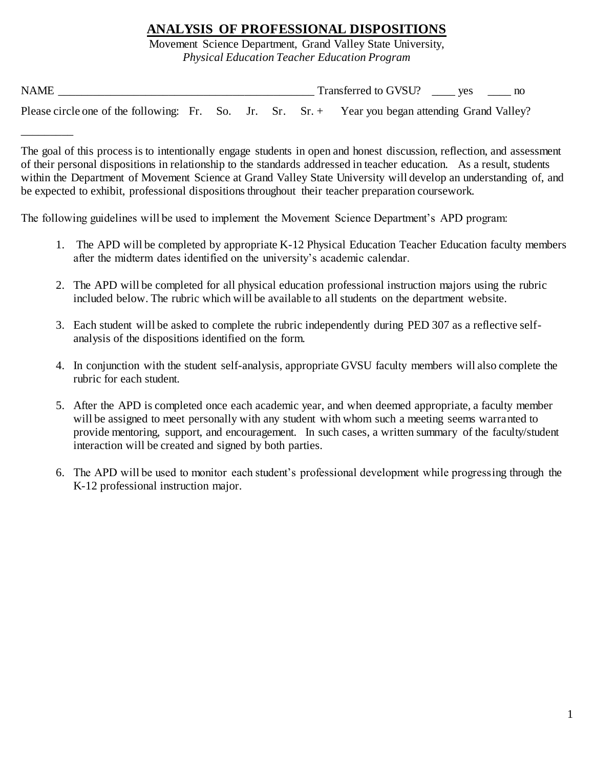## **ANALYSIS OF PROFESSIONAL DISPOSITIONS**

Movement Science Department, Grand Valley State University, *Physical Education Teacher Education Program*

| <b>NAME</b>                                                                                        |  |  | Transferred to GVSU? ves |  |
|----------------------------------------------------------------------------------------------------|--|--|--------------------------|--|
| Please circle one of the following: Fr. So. Jr. Sr. $Sr. + Year you began attending Grand Valley?$ |  |  |                          |  |

The goal of this process is to intentionally engage students in open and honest discussion, reflection, and assessment of their personal dispositions in relationship to the standards addressed in teacher education. As a result, students within the Department of Movement Science at Grand Valley State University will develop an understanding of, and be expected to exhibit, professional dispositions throughout their teacher preparation coursework.

The following guidelines will be used to implement the Movement Science Department's APD program:

\_\_\_\_\_\_\_\_\_

- 1. The APD will be completed by appropriate K-12 Physical Education Teacher Education faculty members after the midterm dates identified on the university's academic calendar.
- 2. The APD will be completed for all physical education professional instruction majors using the rubric included below. The rubric which will be available to all students on the department website.
- 3. Each student will be asked to complete the rubric independently during PED 307 as a reflective selfanalysis of the dispositions identified on the form.
- 4. In conjunction with the student self-analysis, appropriate GVSU faculty members will also complete the rubric for each student.
- 5. After the APD is completed once each academic year, and when deemed appropriate, a faculty member will be assigned to meet personally with any student with whom such a meeting seems warranted to provide mentoring, support, and encouragement. In such cases, a written summary of the faculty/student interaction will be created and signed by both parties.
- 6. The APD will be used to monitor each student's professional development while progressing through the K-12 professional instruction major.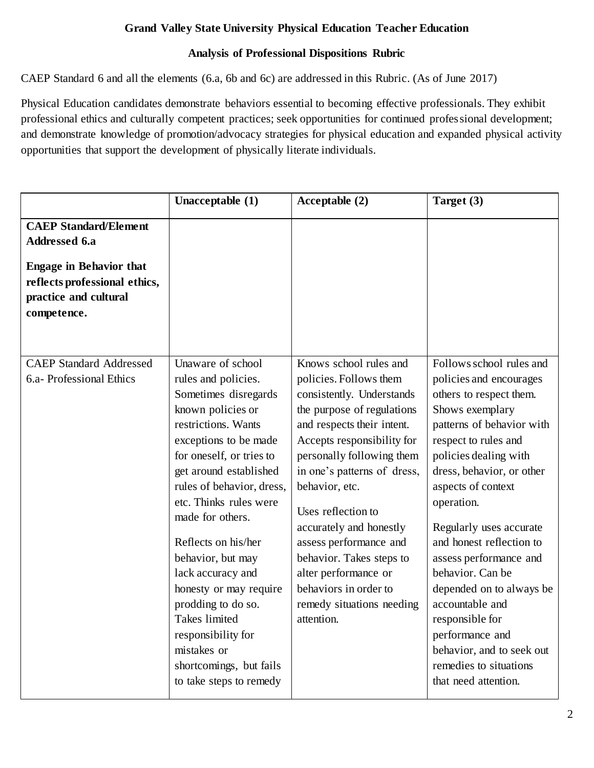## **Grand Valley State University Physical Education Teacher Education**

## **Analysis of Professional Dispositions Rubric**

CAEP Standard 6 and all the elements (6.a, 6b and 6c) are addressed in this Rubric. (As of June 2017)

Physical Education candidates demonstrate behaviors essential to becoming effective professionals. They exhibit professional ethics and culturally competent practices; seek opportunities for continued professional development; and demonstrate knowledge of promotion/advocacy strategies for physical education and expanded physical activity opportunities that support the development of physically literate individuals.

|                                                                                                                                                          | Unacceptable (1)                                                                                                                                                                                                                                                                                                                                                                                                                                                                                           | Acceptable (2)                                                                                                                                                                                                                                                                                                                                                                                                                                           | Target (3)                                                                                                                                                                                                                                                                                                                                                                                                                                                                                                                |
|----------------------------------------------------------------------------------------------------------------------------------------------------------|------------------------------------------------------------------------------------------------------------------------------------------------------------------------------------------------------------------------------------------------------------------------------------------------------------------------------------------------------------------------------------------------------------------------------------------------------------------------------------------------------------|----------------------------------------------------------------------------------------------------------------------------------------------------------------------------------------------------------------------------------------------------------------------------------------------------------------------------------------------------------------------------------------------------------------------------------------------------------|---------------------------------------------------------------------------------------------------------------------------------------------------------------------------------------------------------------------------------------------------------------------------------------------------------------------------------------------------------------------------------------------------------------------------------------------------------------------------------------------------------------------------|
| <b>CAEP Standard/Element</b><br>Addressed 6.a<br><b>Engage in Behavior that</b><br>reflects professional ethics,<br>practice and cultural<br>competence. |                                                                                                                                                                                                                                                                                                                                                                                                                                                                                                            |                                                                                                                                                                                                                                                                                                                                                                                                                                                          |                                                                                                                                                                                                                                                                                                                                                                                                                                                                                                                           |
| <b>CAEP Standard Addressed</b><br>6.a- Professional Ethics                                                                                               | Unaware of school<br>rules and policies.<br>Sometimes disregards<br>known policies or<br>restrictions. Wants<br>exceptions to be made<br>for oneself, or tries to<br>get around established<br>rules of behavior, dress,<br>etc. Thinks rules were<br>made for others.<br>Reflects on his/her<br>behavior, but may<br>lack accuracy and<br>honesty or may require<br>prodding to do so.<br><b>Takes</b> limited<br>responsibility for<br>mistakes or<br>shortcomings, but fails<br>to take steps to remedy | Knows school rules and<br>policies. Follows them<br>consistently. Understands<br>the purpose of regulations<br>and respects their intent.<br>Accepts responsibility for<br>personally following them<br>in one's patterns of dress,<br>behavior, etc.<br>Uses reflection to<br>accurately and honestly<br>assess performance and<br>behavior. Takes steps to<br>alter performance or<br>behaviors in order to<br>remedy situations needing<br>attention. | Follows school rules and<br>policies and encourages<br>others to respect them.<br>Shows exemplary<br>patterns of behavior with<br>respect to rules and<br>policies dealing with<br>dress, behavior, or other<br>aspects of context<br>operation.<br>Regularly uses accurate<br>and honest reflection to<br>assess performance and<br>behavior. Can be<br>depended on to always be<br>accountable and<br>responsible for<br>performance and<br>behavior, and to seek out<br>remedies to situations<br>that need attention. |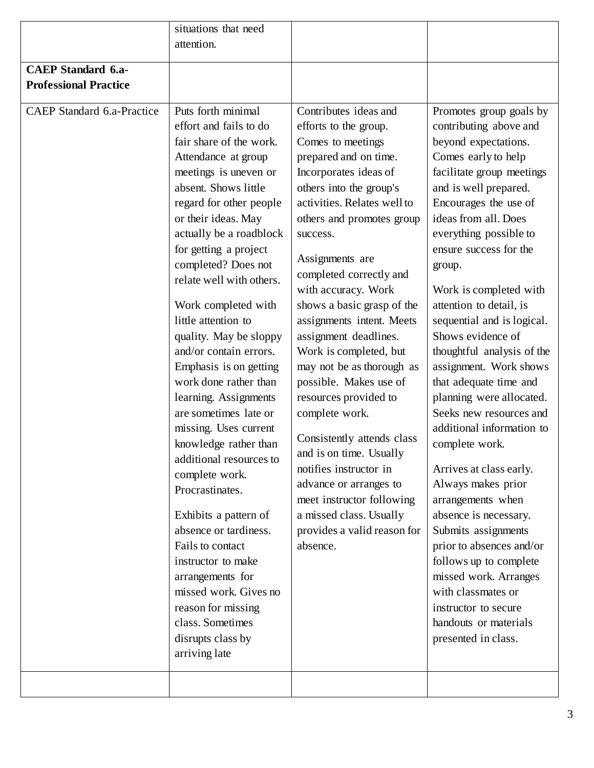|                                                                   | situations that need                                                                                                                                                                                                                                                                                                                                                                                                                                                                                                                                                                                                                                                                                                                                                                                                                                       |                                                                                                                                                                                                                                                                                                                                                                                                                                                                                                                                                                                                                                                                                                                               |                                                                                                                                                                                                                                                                                                                                                                                                                                                                                                                                                                                                                                                                                                                                                                                                                                                                          |
|-------------------------------------------------------------------|------------------------------------------------------------------------------------------------------------------------------------------------------------------------------------------------------------------------------------------------------------------------------------------------------------------------------------------------------------------------------------------------------------------------------------------------------------------------------------------------------------------------------------------------------------------------------------------------------------------------------------------------------------------------------------------------------------------------------------------------------------------------------------------------------------------------------------------------------------|-------------------------------------------------------------------------------------------------------------------------------------------------------------------------------------------------------------------------------------------------------------------------------------------------------------------------------------------------------------------------------------------------------------------------------------------------------------------------------------------------------------------------------------------------------------------------------------------------------------------------------------------------------------------------------------------------------------------------------|--------------------------------------------------------------------------------------------------------------------------------------------------------------------------------------------------------------------------------------------------------------------------------------------------------------------------------------------------------------------------------------------------------------------------------------------------------------------------------------------------------------------------------------------------------------------------------------------------------------------------------------------------------------------------------------------------------------------------------------------------------------------------------------------------------------------------------------------------------------------------|
|                                                                   | attention.                                                                                                                                                                                                                                                                                                                                                                                                                                                                                                                                                                                                                                                                                                                                                                                                                                                 |                                                                                                                                                                                                                                                                                                                                                                                                                                                                                                                                                                                                                                                                                                                               |                                                                                                                                                                                                                                                                                                                                                                                                                                                                                                                                                                                                                                                                                                                                                                                                                                                                          |
|                                                                   |                                                                                                                                                                                                                                                                                                                                                                                                                                                                                                                                                                                                                                                                                                                                                                                                                                                            |                                                                                                                                                                                                                                                                                                                                                                                                                                                                                                                                                                                                                                                                                                                               |                                                                                                                                                                                                                                                                                                                                                                                                                                                                                                                                                                                                                                                                                                                                                                                                                                                                          |
| <b>CAEP</b> Standard 6.a-                                         |                                                                                                                                                                                                                                                                                                                                                                                                                                                                                                                                                                                                                                                                                                                                                                                                                                                            |                                                                                                                                                                                                                                                                                                                                                                                                                                                                                                                                                                                                                                                                                                                               |                                                                                                                                                                                                                                                                                                                                                                                                                                                                                                                                                                                                                                                                                                                                                                                                                                                                          |
|                                                                   |                                                                                                                                                                                                                                                                                                                                                                                                                                                                                                                                                                                                                                                                                                                                                                                                                                                            |                                                                                                                                                                                                                                                                                                                                                                                                                                                                                                                                                                                                                                                                                                                               |                                                                                                                                                                                                                                                                                                                                                                                                                                                                                                                                                                                                                                                                                                                                                                                                                                                                          |
| <b>Professional Practice</b><br><b>CAEP</b> Standard 6.a-Practice | Puts forth minimal<br>effort and fails to do<br>fair share of the work.<br>Attendance at group<br>meetings is uneven or<br>absent. Shows little<br>regard for other people<br>or their ideas. May<br>actually be a roadblock<br>for getting a project<br>completed? Does not<br>relate well with others.<br>Work completed with<br>little attention to<br>quality. May be sloppy<br>and/or contain errors.<br>Emphasis is on getting<br>work done rather than<br>learning. Assignments<br>are sometimes late or<br>missing. Uses current<br>knowledge rather than<br>additional resources to<br>complete work.<br>Procrastinates.<br>Exhibits a pattern of<br>absence or tardiness.<br>Fails to contact<br>instructor to make<br>arrangements for<br>missed work. Gives no<br>reason for missing<br>class. Sometimes<br>disrupts class by<br>arriving late | Contributes ideas and<br>efforts to the group.<br>Comes to meetings<br>prepared and on time.<br>Incorporates ideas of<br>others into the group's<br>activities. Relates well to<br>others and promotes group<br>success.<br>Assignments are<br>completed correctly and<br>with accuracy. Work<br>shows a basic grasp of the<br>assignments intent. Meets<br>assignment deadlines.<br>Work is completed, but<br>may not be as thorough as<br>possible. Makes use of<br>resources provided to<br>complete work.<br>Consistently attends class<br>and is on time. Usually<br>notifies instructor in<br>advance or arranges to<br>meet instructor following<br>a missed class. Usually<br>provides a valid reason for<br>absence. | Promotes group goals by<br>contributing above and<br>beyond expectations.<br>Comes early to help<br>facilitate group meetings<br>and is well prepared.<br>Encourages the use of<br>ideas from all. Does<br>everything possible to<br>ensure success for the<br>group.<br>Work is completed with<br>attention to detail, is<br>sequential and is logical.<br>Shows evidence of<br>thoughtful analysis of the<br>assignment. Work shows<br>that adequate time and<br>planning were allocated.<br>Seeks new resources and<br>additional information to<br>complete work.<br>Arrives at class early.<br>Always makes prior<br>arrangements when<br>absence is necessary.<br>Submits assignments<br>prior to absences and/or<br>follows up to complete<br>missed work. Arranges<br>with classmates or<br>instructor to secure<br>handouts or materials<br>presented in class. |
|                                                                   |                                                                                                                                                                                                                                                                                                                                                                                                                                                                                                                                                                                                                                                                                                                                                                                                                                                            |                                                                                                                                                                                                                                                                                                                                                                                                                                                                                                                                                                                                                                                                                                                               |                                                                                                                                                                                                                                                                                                                                                                                                                                                                                                                                                                                                                                                                                                                                                                                                                                                                          |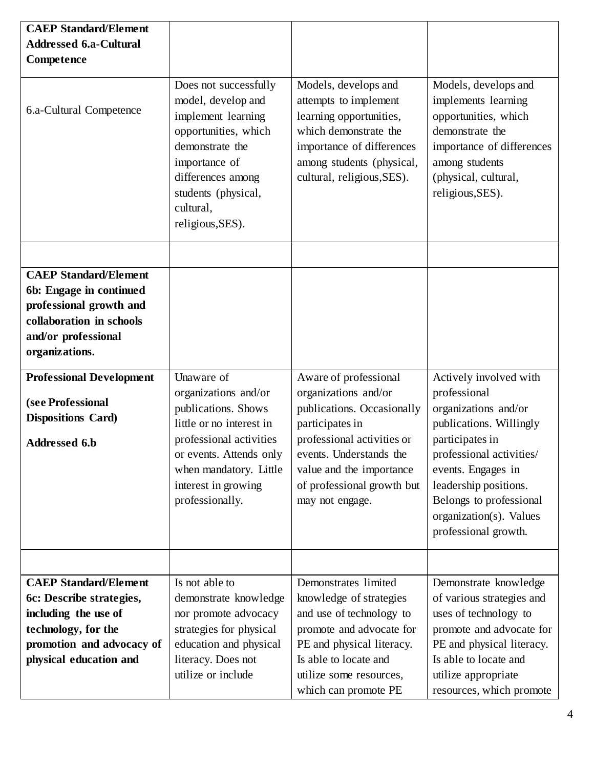| <b>CAEP Standard/Element</b><br><b>Addressed 6.a-Cultural</b><br>Competence                                                                                    | Does not successfully                                                                                                                                                                                           | Models, develops and                                                                                                                                                                                                                 | Models, develops and                                                                                                                                                                                                                                                  |
|----------------------------------------------------------------------------------------------------------------------------------------------------------------|-----------------------------------------------------------------------------------------------------------------------------------------------------------------------------------------------------------------|--------------------------------------------------------------------------------------------------------------------------------------------------------------------------------------------------------------------------------------|-----------------------------------------------------------------------------------------------------------------------------------------------------------------------------------------------------------------------------------------------------------------------|
| 6.a-Cultural Competence                                                                                                                                        | model, develop and<br>implement learning<br>opportunities, which<br>demonstrate the<br>importance of<br>differences among<br>students (physical,<br>cultural,<br>religious, SES).                               | attempts to implement<br>learning opportunities,<br>which demonstrate the<br>importance of differences<br>among students (physical,<br>cultural, religious, SES).                                                                    | implements learning<br>opportunities, which<br>demonstrate the<br>importance of differences<br>among students<br>(physical, cultural,<br>religious, SES).                                                                                                             |
| <b>CAEP Standard/Element</b><br>6b: Engage in continued<br>professional growth and<br>collaboration in schools<br>and/or professional<br>organizations.        |                                                                                                                                                                                                                 |                                                                                                                                                                                                                                      |                                                                                                                                                                                                                                                                       |
| <b>Professional Development</b><br>(see Professional<br><b>Dispositions Card)</b><br><b>Addressed 6.b</b>                                                      | Unaware of<br>organizations and/or<br>publications. Shows<br>little or no interest in<br>professional activities<br>or events. Attends only<br>when mandatory. Little<br>interest in growing<br>professionally. | Aware of professional<br>organizations and/or<br>publications. Occasionally<br>participates in<br>professional activities or<br>events. Understands the<br>value and the importance<br>of professional growth but<br>may not engage. | Actively involved with<br>professional<br>organizations and/or<br>publications. Willingly<br>participates in<br>professional activities/<br>events. Engages in<br>leadership positions.<br>Belongs to professional<br>organization(s). Values<br>professional growth. |
| <b>CAEP Standard/Element</b><br>6c: Describe strategies,<br>including the use of<br>technology, for the<br>promotion and advocacy of<br>physical education and | Is not able to<br>demonstrate knowledge<br>nor promote advocacy<br>strategies for physical<br>education and physical<br>literacy. Does not<br>utilize or include                                                | Demonstrates limited<br>knowledge of strategies<br>and use of technology to<br>promote and advocate for<br>PE and physical literacy.<br>Is able to locate and<br>utilize some resources,<br>which can promote PE                     | Demonstrate knowledge<br>of various strategies and<br>uses of technology to<br>promote and advocate for<br>PE and physical literacy.<br>Is able to locate and<br>utilize appropriate<br>resources, which promote                                                      |